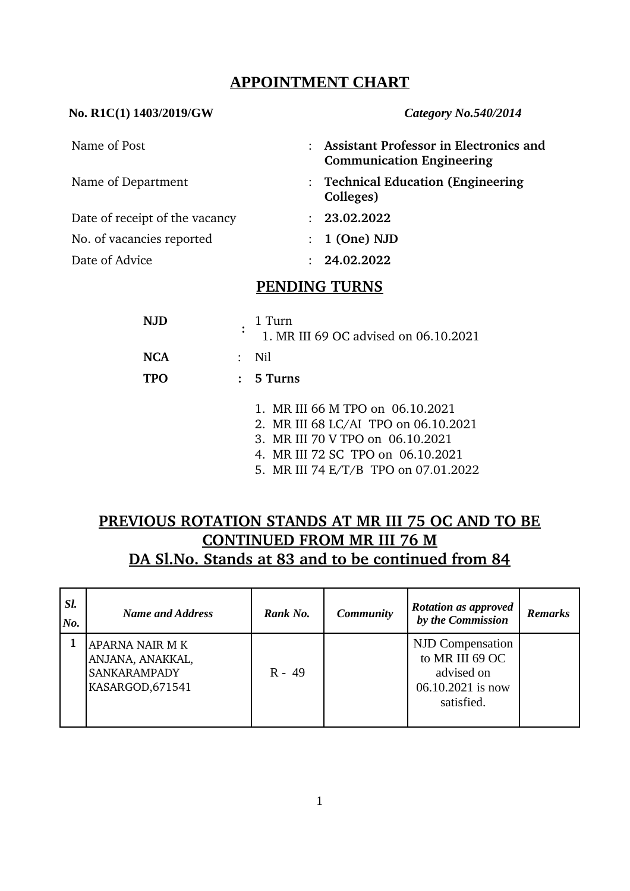## **APPOINTMENT CHART**

# **No. R1C(1) 1403/2019/GW** *Category No.540/2014* Name of Post : **Assistant Professor in Electronics and Communication Engineering** Name of Department **1988 1988 1989 1989 1989 1989 1989 1989 1989 1989 1989 1989 1989 1989 1989 1989 1989 1989 1989 1989 1989 1989 1989 1989 1989 1989 1989 1989 1989 Colleges)** Date of receipt of the vacancy : **23.02.2022** No. of vacancies reported : **1 (One) NJD**  Date of Advice : **24.02.2022**

### **PENDING TURNS**

| N.JD       | 1 Turn<br>1. MR III 69 OC advised on 06.10.2021                                                                                                                                           |  |  |  |
|------------|-------------------------------------------------------------------------------------------------------------------------------------------------------------------------------------------|--|--|--|
| <b>NCA</b> | Nil                                                                                                                                                                                       |  |  |  |
| <b>TPO</b> | $: 5$ Turns                                                                                                                                                                               |  |  |  |
|            | 1. MR III 66 M TPO on 06.10.2021<br>2. MR III 68 LC/AI TPO on 06.10.2021<br>3. MR III 70 V TPO on 06.10.2021<br>4. MR III 72 SC TPO on 06.10.2021<br>5. MR III 74 E/T/B TPO on 07.01.2022 |  |  |  |

# **PREVIOUS ROTATION STANDS AT MR III 75 OC AND TO BE CONTINUED FROM MR III 76 M DA Sl.No. Stands at 83 and to be continued from 84**

| SI.<br>No. | <b>Name and Address</b>                                                        | Rank No. | <b>Community</b> | <b>Rotation as approved</b><br>by the Commission                                     | <b>Remarks</b> |
|------------|--------------------------------------------------------------------------------|----------|------------------|--------------------------------------------------------------------------------------|----------------|
|            | APARNA NAIR M K<br>ANJANA, ANAKKAL,<br><b>SANKARAMPADY</b><br>KASARGOD, 671541 | $R - 49$ |                  | NJD Compensation<br>to MR III 69 OC<br>advised on<br>06.10.2021 is now<br>satisfied. |                |